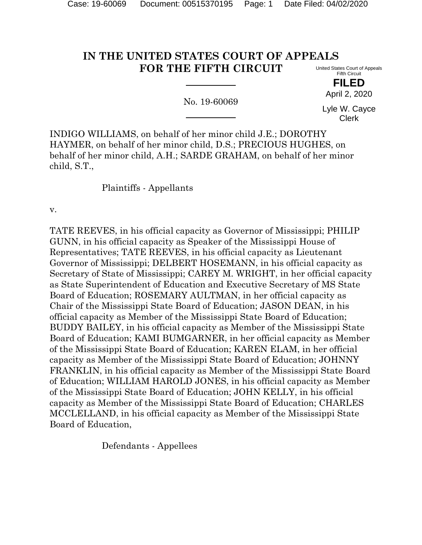#### **IN THE UNITED STATES COURT OF APPEALS FOR THE FIFTH CIRCUIT** United States Court of Appeals Fifth Circuit

No. 19-60069

**FILED** April 2, 2020

Lyle W. Cayce Clerk

INDIGO WILLIAMS, on behalf of her minor child J.E.; DOROTHY HAYMER, on behalf of her minor child, D.S.; PRECIOUS HUGHES, on behalf of her minor child, A.H.; SARDE GRAHAM, on behalf of her minor child, S.T.,

Plaintiffs - Appellants

v.

TATE REEVES, in his official capacity as Governor of Mississippi; PHILIP GUNN, in his official capacity as Speaker of the Mississippi House of Representatives; TATE REEVES, in his official capacity as Lieutenant Governor of Mississippi; DELBERT HOSEMANN, in his official capacity as Secretary of State of Mississippi; CAREY M. WRIGHT, in her official capacity as State Superintendent of Education and Executive Secretary of MS State Board of Education; ROSEMARY AULTMAN, in her official capacity as Chair of the Mississippi State Board of Education; JASON DEAN, in his official capacity as Member of the Mississippi State Board of Education; BUDDY BAILEY, in his official capacity as Member of the Mississippi State Board of Education; KAMI BUMGARNER, in her official capacity as Member of the Mississippi State Board of Education; KAREN ELAM, in her official capacity as Member of the Mississippi State Board of Education; JOHNNY FRANKLIN, in his official capacity as Member of the Mississippi State Board of Education; WILLIAM HAROLD JONES, in his official capacity as Member of the Mississippi State Board of Education; JOHN KELLY, in his official capacity as Member of the Mississippi State Board of Education; CHARLES MCCLELLAND, in his official capacity as Member of the Mississippi State Board of Education,

Defendants - Appellees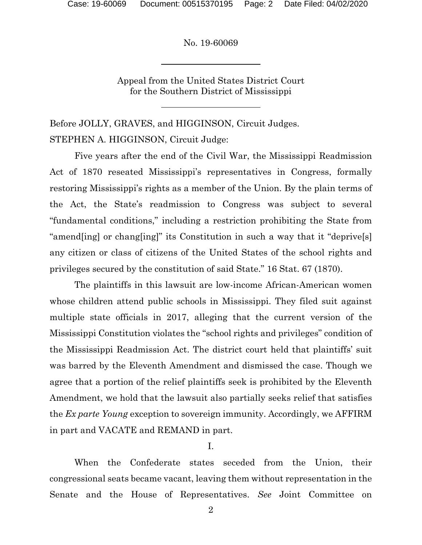Appeal from the United States District Court for the Southern District of Mississippi

Before JOLLY, GRAVES, and HIGGINSON, Circuit Judges. STEPHEN A. HIGGINSON, Circuit Judge:

Five years after the end of the Civil War, the Mississippi Readmission Act of 1870 reseated Mississippi's representatives in Congress, formally restoring Mississippi's rights as a member of the Union. By the plain terms of the Act, the State's readmission to Congress was subject to several "fundamental conditions," including a restriction prohibiting the State from "amend[ing] or chang[ing]" its Constitution in such a way that it "deprive[s] any citizen or class of citizens of the United States of the school rights and privileges secured by the constitution of said State." 16 Stat. 67 (1870).

The plaintiffs in this lawsuit are low-income African-American women whose children attend public schools in Mississippi. They filed suit against multiple state officials in 2017, alleging that the current version of the Mississippi Constitution violates the "school rights and privileges" condition of the Mississippi Readmission Act. The district court held that plaintiffs' suit was barred by the Eleventh Amendment and dismissed the case. Though we agree that a portion of the relief plaintiffs seek is prohibited by the Eleventh Amendment, we hold that the lawsuit also partially seeks relief that satisfies the *Ex parte Young* exception to sovereign immunity. Accordingly, we AFFIRM in part and VACATE and REMAND in part.

I.

When the Confederate states seceded from the Union, their congressional seats became vacant, leaving them without representation in the Senate and the House of Representatives. *See* Joint Committee on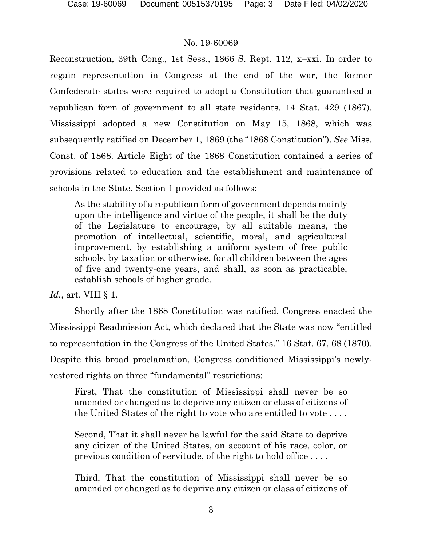Reconstruction, 39th Cong., 1st Sess., 1866 S. Rept. 112, x–xxi. In order to regain representation in Congress at the end of the war, the former Confederate states were required to adopt a Constitution that guaranteed a republican form of government to all state residents. 14 Stat. 429 (1867). Mississippi adopted a new Constitution on May 15, 1868, which was subsequently ratified on December 1, 1869 (the "1868 Constitution"). *See* Miss. Const. of 1868. Article Eight of the 1868 Constitution contained a series of provisions related to education and the establishment and maintenance of schools in the State. Section 1 provided as follows:

As the stability of a republican form of government depends mainly upon the intelligence and virtue of the people, it shall be the duty of the Legislature to encourage, by all suitable means, the promotion of intellectual, scientific, moral, and agricultural improvement, by establishing a uniform system of free public schools, by taxation or otherwise, for all children between the ages of five and twenty-one years, and shall, as soon as practicable, establish schools of higher grade.

*Id.*, art. VIII § 1.

Shortly after the 1868 Constitution was ratified, Congress enacted the Mississippi Readmission Act, which declared that the State was now "entitled to representation in the Congress of the United States." 16 Stat. 67, 68 (1870). Despite this broad proclamation, Congress conditioned Mississippi's newlyrestored rights on three "fundamental" restrictions:

First, That the constitution of Mississippi shall never be so amended or changed as to deprive any citizen or class of citizens of the United States of the right to vote who are entitled to vote . . . .

Second, That it shall never be lawful for the said State to deprive any citizen of the United States, on account of his race, color, or previous condition of servitude, of the right to hold office . . . .

Third, That the constitution of Mississippi shall never be so amended or changed as to deprive any citizen or class of citizens of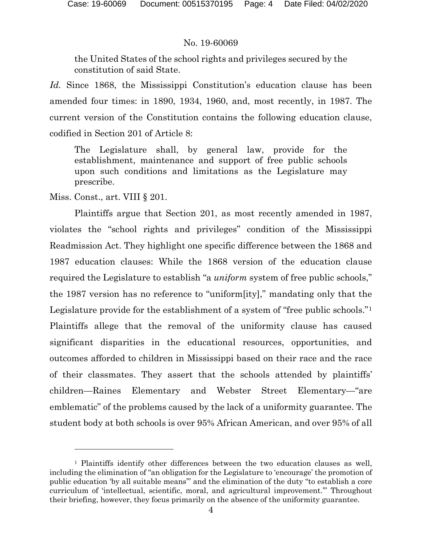the United States of the school rights and privileges secured by the constitution of said State.

*Id.* Since 1868, the Mississippi Constitution's education clause has been amended four times: in 1890, 1934, 1960, and, most recently, in 1987. The current version of the Constitution contains the following education clause, codified in Section 201 of Article 8:

The Legislature shall, by general law, provide for the establishment, maintenance and support of free public schools upon such conditions and limitations as the Legislature may prescribe.

Miss. Const., art. VIII § 201.

Plaintiffs argue that Section 201, as most recently amended in 1987, violates the "school rights and privileges" condition of the Mississippi Readmission Act. They highlight one specific difference between the 1868 and 1987 education clauses: While the 1868 version of the education clause required the Legislature to establish "a *uniform* system of free public schools," the 1987 version has no reference to "uniform[ity]," mandating only that the Legislature provide for the establishment of a system of "free public schools."[1](#page-3-0) Plaintiffs allege that the removal of the uniformity clause has caused significant disparities in the educational resources, opportunities, and outcomes afforded to children in Mississippi based on their race and the race of their classmates. They assert that the schools attended by plaintiffs' children—Raines Elementary and Webster Street Elementary—"are emblematic" of the problems caused by the lack of a uniformity guarantee. The student body at both schools is over 95% African American, and over 95% of all

<span id="page-3-0"></span><sup>1</sup> Plaintiffs identify other differences between the two education clauses as well, including the elimination of "an obligation for the Legislature to 'encourage' the promotion of public education 'by all suitable means'" and the elimination of the duty "to establish a core curriculum of 'intellectual, scientific, moral, and agricultural improvement.'" Throughout their briefing, however, they focus primarily on the absence of the uniformity guarantee.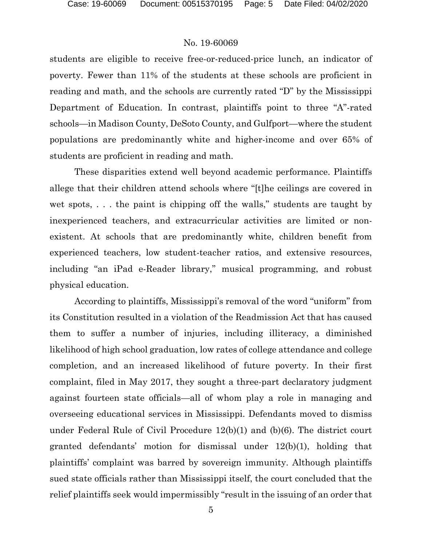students are eligible to receive free-or-reduced-price lunch, an indicator of poverty. Fewer than 11% of the students at these schools are proficient in reading and math, and the schools are currently rated "D" by the Mississippi Department of Education. In contrast, plaintiffs point to three "A"-rated schools—in Madison County, DeSoto County, and Gulfport—where the student populations are predominantly white and higher-income and over 65% of students are proficient in reading and math.

These disparities extend well beyond academic performance. Plaintiffs allege that their children attend schools where "[t]he ceilings are covered in wet spots, . . . the paint is chipping off the walls," students are taught by inexperienced teachers, and extracurricular activities are limited or nonexistent. At schools that are predominantly white, children benefit from experienced teachers, low student-teacher ratios, and extensive resources, including "an iPad e-Reader library," musical programming, and robust physical education.

According to plaintiffs, Mississippi's removal of the word "uniform" from its Constitution resulted in a violation of the Readmission Act that has caused them to suffer a number of injuries, including illiteracy, a diminished likelihood of high school graduation, low rates of college attendance and college completion, and an increased likelihood of future poverty. In their first complaint, filed in May 2017, they sought a three-part declaratory judgment against fourteen state officials—all of whom play a role in managing and overseeing educational services in Mississippi. Defendants moved to dismiss under Federal Rule of Civil Procedure 12(b)(1) and (b)(6). The district court granted defendants' motion for dismissal under 12(b)(1), holding that plaintiffs' complaint was barred by sovereign immunity. Although plaintiffs sued state officials rather than Mississippi itself, the court concluded that the relief plaintiffs seek would impermissibly "result in the issuing of an order that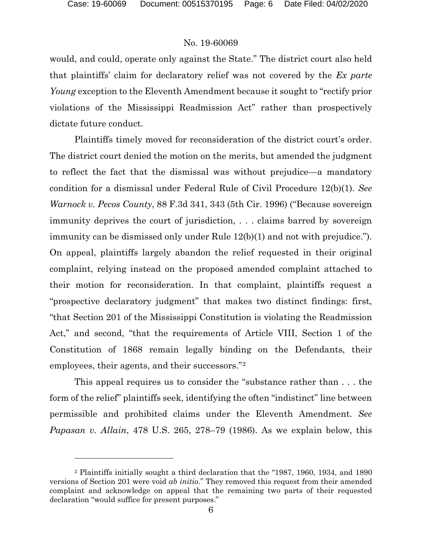would, and could, operate only against the State." The district court also held that plaintiffs' claim for declaratory relief was not covered by the *Ex parte Young* exception to the Eleventh Amendment because it sought to "rectify prior violations of the Mississippi Readmission Act" rather than prospectively dictate future conduct.

Plaintiffs timely moved for reconsideration of the district court's order. The district court denied the motion on the merits, but amended the judgment to reflect the fact that the dismissal was without prejudice—a mandatory condition for a dismissal under Federal Rule of Civil Procedure 12(b)(1). *See Warnock v. Pecos County*, 88 F.3d 341, 343 (5th Cir. 1996) ("Because sovereign immunity deprives the court of jurisdiction, . . . claims barred by sovereign immunity can be dismissed only under Rule 12(b)(1) and not with prejudice."). On appeal, plaintiffs largely abandon the relief requested in their original complaint, relying instead on the proposed amended complaint attached to their motion for reconsideration. In that complaint, plaintiffs request a "prospective declaratory judgment" that makes two distinct findings: first, "that Section 201 of the Mississippi Constitution is violating the Readmission Act," and second, "that the requirements of Article VIII, Section 1 of the Constitution of 1868 remain legally binding on the Defendants, their employees, their agents, and their successors."[2](#page-5-0)

This appeal requires us to consider the "substance rather than . . . the form of the relief" plaintiffs seek, identifying the often "indistinct" line between permissible and prohibited claims under the Eleventh Amendment. *See Papasan v. Allain*, 478 U.S. 265, 278–79 (1986). As we explain below, this

<span id="page-5-0"></span><sup>2</sup> Plaintiffs initially sought a third declaration that the "1987, 1960, 1934, and 1890 versions of Section 201 were void *ab initio*." They removed this request from their amended complaint and acknowledge on appeal that the remaining two parts of their requested declaration "would suffice for present purposes."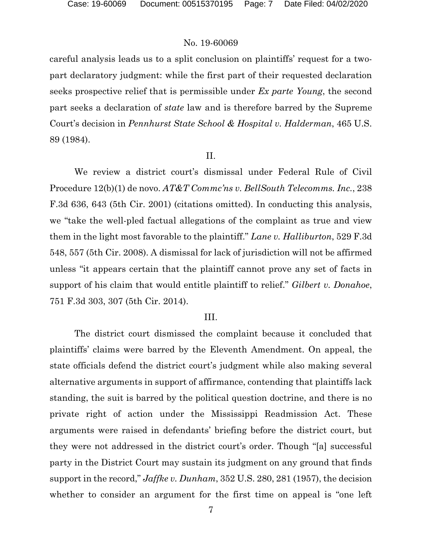careful analysis leads us to a split conclusion on plaintiffs' request for a twopart declaratory judgment: while the first part of their requested declaration seeks prospective relief that is permissible under *Ex parte Young*, the second part seeks a declaration of *state* law and is therefore barred by the Supreme Court's decision in *Pennhurst State School & Hospital v. Halderman*, 465 U.S. 89 (1984).

#### II.

We review a district court's dismissal under Federal Rule of Civil Procedure 12(b)(1) de novo. *AT&T Commc'ns v. BellSouth Telecomms. Inc.*, 238 F.3d 636, 643 (5th Cir. 2001) (citations omitted). In conducting this analysis, we "take the well-pled factual allegations of the complaint as true and view them in the light most favorable to the plaintiff." *Lane v. Halliburton*, 529 F.3d 548, 557 (5th Cir. 2008). A dismissal for lack of jurisdiction will not be affirmed unless "it appears certain that the plaintiff cannot prove any set of facts in support of his claim that would entitle plaintiff to relief." *Gilbert v. Donahoe*, 751 F.3d 303, 307 (5th Cir. 2014).

#### III.

The district court dismissed the complaint because it concluded that plaintiffs' claims were barred by the Eleventh Amendment. On appeal, the state officials defend the district court's judgment while also making several alternative arguments in support of affirmance, contending that plaintiffs lack standing, the suit is barred by the political question doctrine, and there is no private right of action under the Mississippi Readmission Act. These arguments were raised in defendants' briefing before the district court, but they were not addressed in the district court's order. Though "[a] successful party in the District Court may sustain its judgment on any ground that finds support in the record," *Jaffke v. Dunham*, 352 U.S. 280, 281 (1957), the decision whether to consider an argument for the first time on appeal is "one left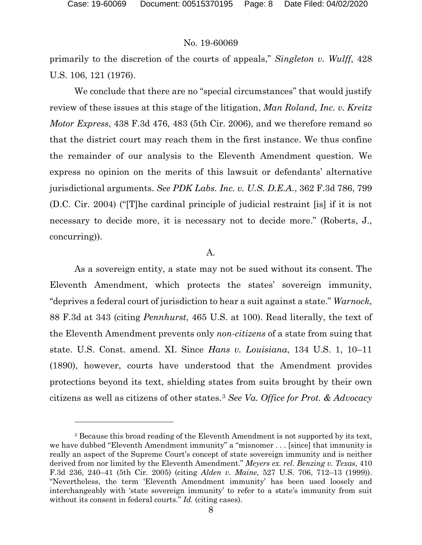primarily to the discretion of the courts of appeals," *Singleton v. Wulff*, 428 U.S. 106, 121 (1976).

We conclude that there are no "special circumstances" that would justify review of these issues at this stage of the litigation, *Man Roland, Inc. v. Kreitz Motor Express*, 438 F.3d 476, 483 (5th Cir. 2006), and we therefore remand so that the district court may reach them in the first instance. We thus confine the remainder of our analysis to the Eleventh Amendment question. We express no opinion on the merits of this lawsuit or defendants' alternative jurisdictional arguments. *See PDK Labs. Inc. v. U.S. D.E.A.*, 362 F.3d 786, 799 (D.C. Cir. 2004) ("[T]he cardinal principle of judicial restraint [is] if it is not necessary to decide more, it is necessary not to decide more." (Roberts, J., concurring)).

#### A.

As a sovereign entity, a state may not be sued without its consent. The Eleventh Amendment, which protects the states' sovereign immunity, "deprives a federal court of jurisdiction to hear a suit against a state." *Warnock*, 88 F.3d at 343 (citing *Pennhurst*, 465 U.S. at 100). Read literally, the text of the Eleventh Amendment prevents only *non-citizens* of a state from suing that state. U.S. Const. amend. XI. Since *Hans v. Louisiana*, 134 U.S. 1, 10–11 (1890), however, courts have understood that the Amendment provides protections beyond its text, shielding states from suits brought by their own citizens as well as citizens of other states.[3](#page-7-0) *See Va. Office for Prot. & Advocacy* 

<span id="page-7-0"></span><sup>3</sup> Because this broad reading of the Eleventh Amendment is not supported by its text, we have dubbed "Eleventh Amendment immunity" a "misnomer . . . [since] that immunity is really an aspect of the Supreme Court's concept of state sovereign immunity and is neither derived from nor limited by the Eleventh Amendment." *Meyers ex. rel. Benzing v. Texas*, 410 F.3d 236, 240–41 (5th Cir. 2005) (citing *Alden v. Maine*, 527 U.S. 706, 712–13 (1999)). "Nevertheless, the term 'Eleventh Amendment immunity' has been used loosely and interchangeably with 'state sovereign immunity' to refer to a state's immunity from suit without its consent in federal courts." *Id.* (citing cases).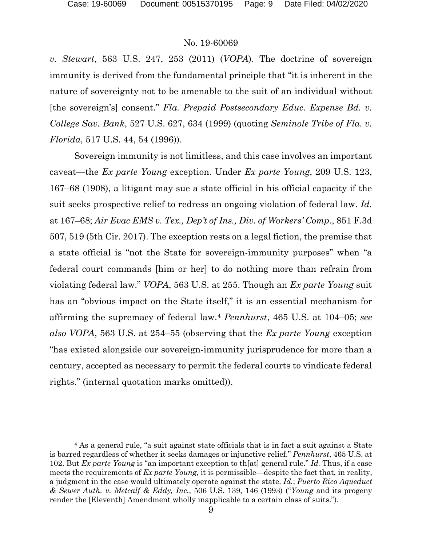*v. Stewart*, 563 U.S. 247, 253 (2011) (*VOPA*). The doctrine of sovereign immunity is derived from the fundamental principle that "it is inherent in the nature of sovereignty not to be amenable to the suit of an individual without [the sovereign's] consent." *Fla. Prepaid Postsecondary Educ. Expense Bd. v. College Sav. Bank*, 527 U.S. 627, 634 (1999) (quoting *Seminole Tribe of Fla. v. Florida*, 517 U.S. 44, 54 (1996)).

Sovereign immunity is not limitless, and this case involves an important caveat—the *Ex parte Young* exception. Under *Ex parte Young*, 209 U.S. 123, 167–68 (1908), a litigant may sue a state official in his official capacity if the suit seeks prospective relief to redress an ongoing violation of federal law. *Id.* at 167–68; *Air Evac EMS v. Tex., Dep't of Ins., Div. of Workers' Comp.*, 851 F.3d 507, 519 (5th Cir. 2017). The exception rests on a legal fiction, the premise that a state official is "not the State for sovereign-immunity purposes" when "a federal court commands [him or her] to do nothing more than refrain from violating federal law." *VOPA*, 563 U.S. at 255. Though an *Ex parte Young* suit has an "obvious impact on the State itself," it is an essential mechanism for affirming the supremacy of federal law.[4](#page-8-0) *Pennhurst*, 465 U.S. at 104–05; *see also VOPA*, 563 U.S. at 254–55 (observing that the *Ex parte Young* exception "has existed alongside our sovereign-immunity jurisprudence for more than a century, accepted as necessary to permit the federal courts to vindicate federal rights." (internal quotation marks omitted)).

<span id="page-8-0"></span><sup>4</sup> As a general rule, "a suit against state officials that is in fact a suit against a State is barred regardless of whether it seeks damages or injunctive relief." *Pennhurst*, 465 U.S. at 102. But *Ex parte Young* is "an important exception to th[at] general rule." *Id.* Thus, if a case meets the requirements of *Ex parte Young*, it is permissible—despite the fact that, in reality, a judgment in the case would ultimately operate against the state. *Id.*; *Puerto Rico Aqueduct & Sewer Auth. v. Metcalf & Eddy, Inc.*, 506 U.S. 139, 146 (1993) ("*Young* and its progeny render the [Eleventh] Amendment wholly inapplicable to a certain class of suits.").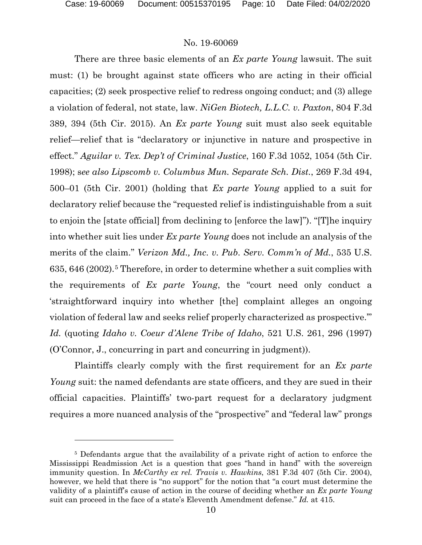There are three basic elements of an *Ex parte Young* lawsuit. The suit must: (1) be brought against state officers who are acting in their official capacities; (2) seek prospective relief to redress ongoing conduct; and (3) allege a violation of federal, not state, law. *NiGen Biotech, L.L.C. v. Paxton*, 804 F.3d 389, 394 (5th Cir. 2015). An *Ex parte Young* suit must also seek equitable relief—relief that is "declaratory or injunctive in nature and prospective in effect." *Aguilar v. Tex. Dep't of Criminal Justice*, 160 F.3d 1052, 1054 (5th Cir. 1998); s*ee also Lipscomb v. Columbus Mun. Separate Sch. Dist.*, 269 F.3d 494, 500–01 (5th Cir. 2001) (holding that *Ex parte Young* applied to a suit for declaratory relief because the "requested relief is indistinguishable from a suit to enjoin the [state official] from declining to [enforce the law]"). "[T]he inquiry into whether suit lies under *Ex parte Young* does not include an analysis of the merits of the claim." *Verizon Md., Inc. v. Pub. Serv. Comm'n of Md.*, 535 U.S. 635, 646 (2002).[5](#page-9-0) Therefore, in order to determine whether a suit complies with the requirements of *Ex parte Young*, the "court need only conduct a 'straightforward inquiry into whether [the] complaint alleges an ongoing violation of federal law and seeks relief properly characterized as prospective.'" *Id.* (quoting *Idaho v. Coeur d'Alene Tribe of Idaho*, 521 U.S. 261, 296 (1997) (O'Connor, J., concurring in part and concurring in judgment)).

Plaintiffs clearly comply with the first requirement for an *Ex parte Young* suit: the named defendants are state officers, and they are sued in their official capacities. Plaintiffs' two-part request for a declaratory judgment requires a more nuanced analysis of the "prospective" and "federal law" prongs

<span id="page-9-0"></span><sup>5</sup> Defendants argue that the availability of a private right of action to enforce the Mississippi Readmission Act is a question that goes "hand in hand" with the sovereign immunity question. In *McCarthy ex rel. Travis v. Hawkins*, 381 F.3d 407 (5th Cir. 2004), however, we held that there is "no support" for the notion that "a court must determine the validity of a plaintiff's cause of action in the course of deciding whether an *Ex parte Young* suit can proceed in the face of a state's Eleventh Amendment defense." *Id.* at 415.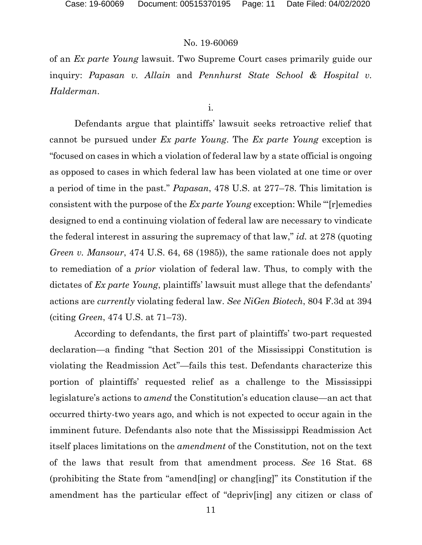of an *Ex parte Young* lawsuit. Two Supreme Court cases primarily guide our inquiry: *Papasan v. Allain* and *Pennhurst State School & Hospital v. Halderman*.

i.

Defendants argue that plaintiffs' lawsuit seeks retroactive relief that cannot be pursued under *Ex parte Young*. The *Ex parte Young* exception is "focused on cases in which a violation of federal law by a state official is ongoing as opposed to cases in which federal law has been violated at one time or over a period of time in the past." *Papasan*, 478 U.S. at 277–78. This limitation is consistent with the purpose of the *Ex parte Young* exception: While "'[r]emedies designed to end a continuing violation of federal law are necessary to vindicate the federal interest in assuring the supremacy of that law," *id.* at 278 (quoting *Green v. Mansour*, 474 U.S. 64, 68 (1985)), the same rationale does not apply to remediation of a *prior* violation of federal law. Thus, to comply with the dictates of *Ex parte Young*, plaintiffs' lawsuit must allege that the defendants' actions are *currently* violating federal law. *See NiGen Biotech*, 804 F.3d at 394 (citing *Green*, 474 U.S. at 71–73).

According to defendants, the first part of plaintiffs' two-part requested declaration—a finding "that Section 201 of the Mississippi Constitution is violating the Readmission Act"—fails this test. Defendants characterize this portion of plaintiffs' requested relief as a challenge to the Mississippi legislature's actions to *amend* the Constitution's education clause—an act that occurred thirty-two years ago, and which is not expected to occur again in the imminent future. Defendants also note that the Mississippi Readmission Act itself places limitations on the *amendment* of the Constitution, not on the text of the laws that result from that amendment process. *See* 16 Stat. 68 (prohibiting the State from "amend[ing] or chang[ing]" its Constitution if the amendment has the particular effect of "depriv[ing] any citizen or class of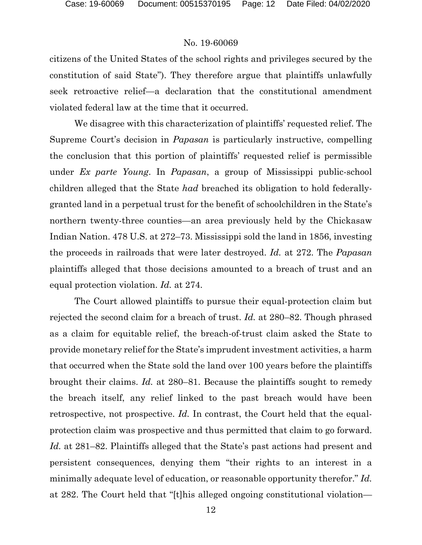citizens of the United States of the school rights and privileges secured by the constitution of said State"). They therefore argue that plaintiffs unlawfully seek retroactive relief—a declaration that the constitutional amendment violated federal law at the time that it occurred.

We disagree with this characterization of plaintiffs' requested relief. The Supreme Court's decision in *Papasan* is particularly instructive, compelling the conclusion that this portion of plaintiffs' requested relief is permissible under *Ex parte Young*. In *Papasan*, a group of Mississippi public-school children alleged that the State *had* breached its obligation to hold federallygranted land in a perpetual trust for the benefit of schoolchildren in the State's northern twenty-three counties—an area previously held by the Chickasaw Indian Nation. 478 U.S. at 272–73. Mississippi sold the land in 1856, investing the proceeds in railroads that were later destroyed. *Id.* at 272. The *Papasan* plaintiffs alleged that those decisions amounted to a breach of trust and an equal protection violation. *Id.* at 274.

The Court allowed plaintiffs to pursue their equal-protection claim but rejected the second claim for a breach of trust. *Id.* at 280–82. Though phrased as a claim for equitable relief, the breach-of-trust claim asked the State to provide monetary relief for the State's imprudent investment activities, a harm that occurred when the State sold the land over 100 years before the plaintiffs brought their claims. *Id.* at 280–81. Because the plaintiffs sought to remedy the breach itself, any relief linked to the past breach would have been retrospective, not prospective. *Id.* In contrast, the Court held that the equalprotection claim was prospective and thus permitted that claim to go forward. *Id.* at 281–82. Plaintiffs alleged that the State's past actions had present and persistent consequences, denying them "their rights to an interest in a minimally adequate level of education, or reasonable opportunity therefor." *Id.* at 282. The Court held that "[t]his alleged ongoing constitutional violation—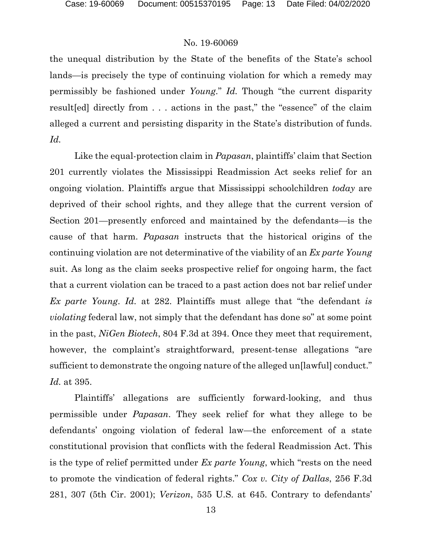the unequal distribution by the State of the benefits of the State's school lands—is precisely the type of continuing violation for which a remedy may permissibly be fashioned under *Young*." *Id.* Though "the current disparity result[ed] directly from . . . actions in the past," the "essence" of the claim alleged a current and persisting disparity in the State's distribution of funds. *Id.*

Like the equal-protection claim in *Papasan*, plaintiffs' claim that Section 201 currently violates the Mississippi Readmission Act seeks relief for an ongoing violation. Plaintiffs argue that Mississippi schoolchildren *today* are deprived of their school rights, and they allege that the current version of Section 201—presently enforced and maintained by the defendants—is the cause of that harm. *Papasan* instructs that the historical origins of the continuing violation are not determinative of the viability of an *Ex parte Young* suit. As long as the claim seeks prospective relief for ongoing harm, the fact that a current violation can be traced to a past action does not bar relief under *Ex parte Young*. *Id.* at 282. Plaintiffs must allege that "the defendant *is violating* federal law, not simply that the defendant has done so" at some point in the past, *NiGen Biotech*, 804 F.3d at 394. Once they meet that requirement, however, the complaint's straightforward, present-tense allegations "are sufficient to demonstrate the ongoing nature of the alleged un[lawful] conduct." *Id.* at 395.

Plaintiffs' allegations are sufficiently forward-looking, and thus permissible under *Papasan*. They seek relief for what they allege to be defendants' ongoing violation of federal law—the enforcement of a state constitutional provision that conflicts with the federal Readmission Act. This is the type of relief permitted under *Ex parte Young*, which "rests on the need to promote the vindication of federal rights." *Cox v. City of Dallas*, 256 F.3d 281, 307 (5th Cir. 2001); *Verizon*, 535 U.S. at 645. Contrary to defendants'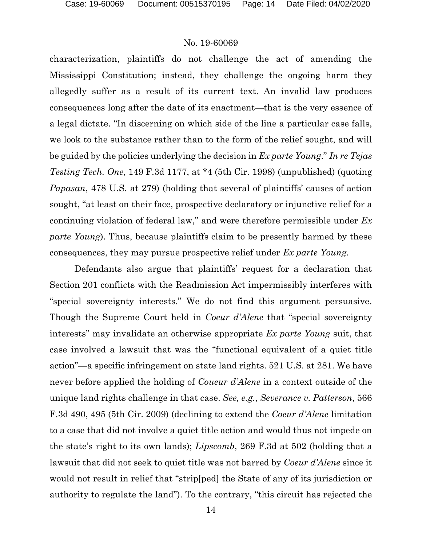characterization, plaintiffs do not challenge the act of amending the Mississippi Constitution; instead, they challenge the ongoing harm they allegedly suffer as a result of its current text. An invalid law produces consequences long after the date of its enactment—that is the very essence of a legal dictate. "In discerning on which side of the line a particular case falls, we look to the substance rather than to the form of the relief sought, and will be guided by the policies underlying the decision in *Ex parte Young*." *In re Tejas Testing Tech. One*, 149 F.3d 1177, at \*4 (5th Cir. 1998) (unpublished) (quoting *Papasan*, 478 U.S. at 279) (holding that several of plaintiffs' causes of action sought, "at least on their face, prospective declaratory or injunctive relief for a continuing violation of federal law," and were therefore permissible under *Ex parte Young*). Thus, because plaintiffs claim to be presently harmed by these consequences, they may pursue prospective relief under *Ex parte Young*.

Defendants also argue that plaintiffs' request for a declaration that Section 201 conflicts with the Readmission Act impermissibly interferes with "special sovereignty interests." We do not find this argument persuasive. Though the Supreme Court held in *Coeur d'Alene* that "special sovereignty interests" may invalidate an otherwise appropriate *Ex parte Young* suit, that case involved a lawsuit that was the "functional equivalent of a quiet title action"—a specific infringement on state land rights. 521 U.S. at 281. We have never before applied the holding of *Coueur d'Alene* in a context outside of the unique land rights challenge in that case. *See, e.g.*, *Severance v. Patterson*, 566 F.3d 490, 495 (5th Cir. 2009) (declining to extend the *Coeur d'Alene* limitation to a case that did not involve a quiet title action and would thus not impede on the state's right to its own lands); *Lipscomb*, 269 F.3d at 502 (holding that a lawsuit that did not seek to quiet title was not barred by *Coeur d'Alene* since it would not result in relief that "strip[ped] the State of any of its jurisdiction or authority to regulate the land"). To the contrary, "this circuit has rejected the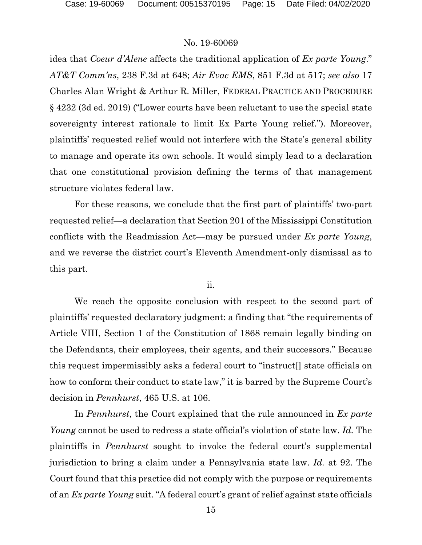idea that *Coeur d'Alene* affects the traditional application of *Ex parte Young*." *AT&T Comm'ns*, 238 F.3d at 648; *Air Evac EMS*, 851 F.3d at 517; *see also* 17 Charles Alan Wright & Arthur R. Miller, FEDERAL PRACTICE AND PROCEDURE § 4232 (3d ed. 2019) ("Lower courts have been reluctant to use the special state sovereignty interest rationale to limit Ex Parte Young relief."). Moreover, plaintiffs' requested relief would not interfere with the State's general ability to manage and operate its own schools. It would simply lead to a declaration that one constitutional provision defining the terms of that management structure violates federal law.

For these reasons, we conclude that the first part of plaintiffs' two-part requested relief—a declaration that Section 201 of the Mississippi Constitution conflicts with the Readmission Act—may be pursued under *Ex parte Young*, and we reverse the district court's Eleventh Amendment-only dismissal as to this part.

ii.

We reach the opposite conclusion with respect to the second part of plaintiffs' requested declaratory judgment: a finding that "the requirements of Article VIII, Section 1 of the Constitution of 1868 remain legally binding on the Defendants, their employees, their agents, and their successors." Because this request impermissibly asks a federal court to "instruct[] state officials on how to conform their conduct to state law," it is barred by the Supreme Court's decision in *Pennhurst*, 465 U.S. at 106.

In *Pennhurst*, the Court explained that the rule announced in *Ex parte Young* cannot be used to redress a state official's violation of state law. *Id.* The plaintiffs in *Pennhurst* sought to invoke the federal court's supplemental jurisdiction to bring a claim under a Pennsylvania state law. *Id.* at 92. The Court found that this practice did not comply with the purpose or requirements of an *Ex parte Young* suit. "A federal court's grant of relief against state officials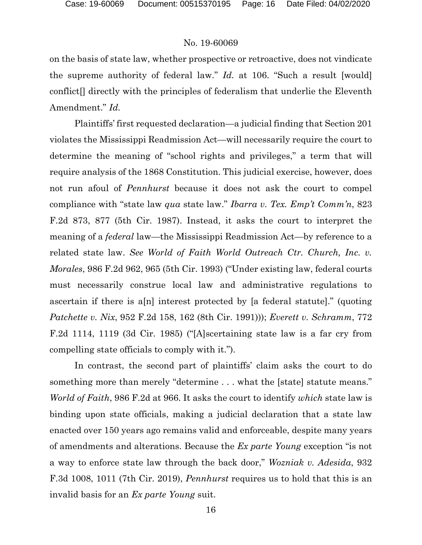on the basis of state law, whether prospective or retroactive, does not vindicate the supreme authority of federal law." *Id.* at 106. "Such a result [would] conflict[] directly with the principles of federalism that underlie the Eleventh Amendment." *Id.*

Plaintiffs' first requested declaration—a judicial finding that Section 201 violates the Mississippi Readmission Act—will necessarily require the court to determine the meaning of "school rights and privileges," a term that will require analysis of the 1868 Constitution. This judicial exercise, however, does not run afoul of *Pennhurst* because it does not ask the court to compel compliance with "state law *qua* state law." *Ibarra v. Tex. Emp't Comm'n*, 823 F.2d 873, 877 (5th Cir. 1987). Instead, it asks the court to interpret the meaning of a *federal* law—the Mississippi Readmission Act—by reference to a related state law. *See World of Faith World Outreach Ctr. Church, Inc. v. Morales*, 986 F.2d 962, 965 (5th Cir. 1993) ("Under existing law, federal courts must necessarily construe local law and administrative regulations to ascertain if there is a[n] interest protected by [a federal statute]." (quoting *Patchette v. Nix*, 952 F.2d 158, 162 (8th Cir. 1991))); *Everett v. Schramm*, 772 F.2d 1114, 1119 (3d Cir. 1985) ("[A]scertaining state law is a far cry from compelling state officials to comply with it.").

In contrast, the second part of plaintiffs' claim asks the court to do something more than merely "determine . . . what the [state] statute means." *World of Faith*, 986 F.2d at 966. It asks the court to identify *which* state law is binding upon state officials, making a judicial declaration that a state law enacted over 150 years ago remains valid and enforceable, despite many years of amendments and alterations. Because the *Ex parte Young* exception "is not a way to enforce state law through the back door," *Wozniak v. Adesida*, 932 F.3d 1008, 1011 (7th Cir. 2019), *Pennhurst* requires us to hold that this is an invalid basis for an *Ex parte Young* suit.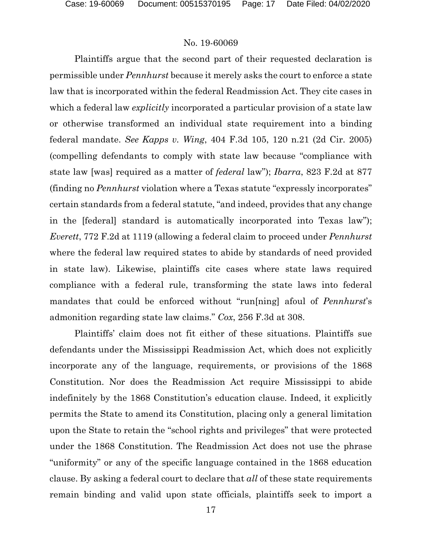Plaintiffs argue that the second part of their requested declaration is permissible under *Pennhurst* because it merely asks the court to enforce a state law that is incorporated within the federal Readmission Act. They cite cases in which a federal law *explicitly* incorporated a particular provision of a state law or otherwise transformed an individual state requirement into a binding federal mandate. *See Kapps v. Wing*, 404 F.3d 105, 120 n.21 (2d Cir. 2005) (compelling defendants to comply with state law because "compliance with state law [was] required as a matter of *federal* law"); *Ibarra*, 823 F.2d at 877 (finding no *Pennhurst* violation where a Texas statute "expressly incorporates" certain standards from a federal statute, "and indeed, provides that any change in the [federal] standard is automatically incorporated into Texas law"); *Everett*, 772 F.2d at 1119 (allowing a federal claim to proceed under *Pennhurst*  where the federal law required states to abide by standards of need provided in state law). Likewise, plaintiffs cite cases where state laws required compliance with a federal rule, transforming the state laws into federal mandates that could be enforced without "run[ning] afoul of *Pennhurst*'s admonition regarding state law claims." *Cox*, 256 F.3d at 308.

Plaintiffs' claim does not fit either of these situations. Plaintiffs sue defendants under the Mississippi Readmission Act, which does not explicitly incorporate any of the language, requirements, or provisions of the 1868 Constitution. Nor does the Readmission Act require Mississippi to abide indefinitely by the 1868 Constitution's education clause. Indeed, it explicitly permits the State to amend its Constitution, placing only a general limitation upon the State to retain the "school rights and privileges" that were protected under the 1868 Constitution. The Readmission Act does not use the phrase "uniformity" or any of the specific language contained in the 1868 education clause. By asking a federal court to declare that *all* of these state requirements remain binding and valid upon state officials, plaintiffs seek to import a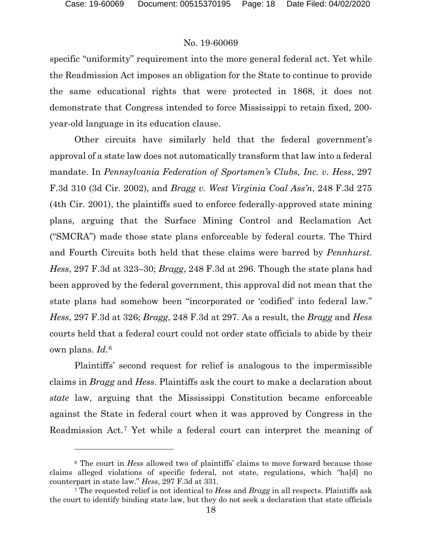specific "uniformity" requirement into the more general federal act. Yet while the Readmission Act imposes an obligation for the State to continue to provide the same educational rights that were protected in 1868, it does not demonstrate that Congress intended to force Mississippi to retain fixed, 200 year-old language in its education clause.

Other circuits have similarly held that the federal government's approval of a state law does not automatically transform that law into a federal mandate. In *Pennsylvania Federation of Sportsmen's Clubs, Inc. v. Hess*, 297 F.3d 310 (3d Cir. 2002), and *Bragg v. West Virginia Coal Ass'n*, 248 F.3d 275 (4th Cir. 2001), the plaintiffs sued to enforce federally-approved state mining plans, arguing that the Surface Mining Control and Reclamation Act ("SMCRA") made those state plans enforceable by federal courts. The Third and Fourth Circuits both held that these claims were barred by *Pennhurst*. *Hess*, 297 F.3d at 323–30; *Bragg*, 248 F.3d at 296. Though the state plans had been approved by the federal government, this approval did not mean that the state plans had somehow been "incorporated or 'codified' into federal law." *Hess*, 297 F.3d at 326; *Bragg*, 248 F.3d at 297. As a result, the *Bragg* and *Hess* courts held that a federal court could not order state officials to abide by their own plans. *Id.*[6](#page-17-0)

Plaintiffs' second request for relief is analogous to the impermissible claims in *Bragg* and *Hess*. Plaintiffs ask the court to make a declaration about *state* law, arguing that the Mississippi Constitution became enforceable against the State in federal court when it was approved by Congress in the Readmission Act.[7](#page-17-1) Yet while a federal court can interpret the meaning of

<span id="page-17-0"></span><sup>6</sup> The court in *Hess* allowed two of plaintiffs' claims to move forward because those claims alleged violations of specific federal, not state, regulations, which "ha[d] no counterpart in state law." *Hess*, 297 F.3d at 331.

<span id="page-17-1"></span><sup>7</sup> The requested relief is not identical to *Hess* and *Bragg* in all respects. Plaintiffs ask the court to identify binding state law, but they do not seek a declaration that state officials